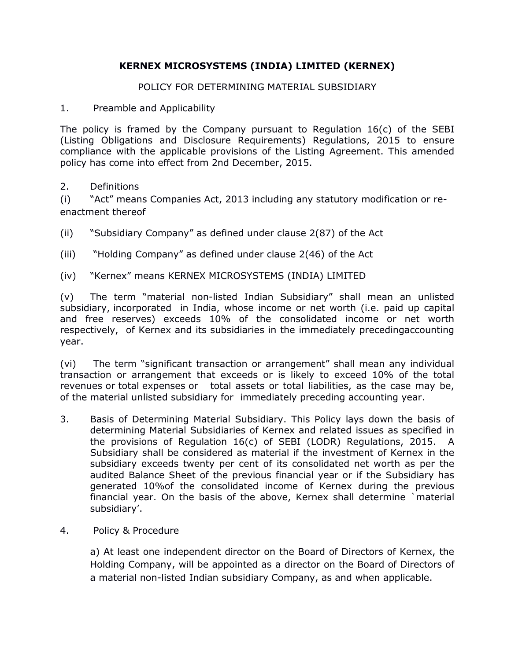# **KERNEX MICROSYSTEMS (INDIA) LIMITED (KERNEX)**

### POLICY FOR DETERMINING MATERIAL SUBSIDIARY

1. Preamble and Applicability

The policy is framed by the Company pursuant to Regulation 16(c) of the SEBI (Listing Obligations and Disclosure Requirements) Regulations, 2015 to ensure compliance with the applicable provisions of the Listing Agreement. This amended policy has come into effect from 2nd December, 2015.

2. Definitions

(i) "Act" means Companies Act, 2013 including any statutory modification or reenactment thereof

- (ii) "Subsidiary Company" as defined under clause 2(87) of the Act
- (iii) "Holding Company" as defined under clause 2(46) of the Act
- (iv) "Kernex" means KERNEX MICROSYSTEMS (INDIA) LIMITED

(v) The term "material non-listed Indian Subsidiary" shall mean an unlisted subsidiary, incorporated in India, whose income or net worth (i.e. paid up capital and free reserves) exceeds 10% of the consolidated income or net worth respectively, of Kernex and its subsidiaries in the immediately precedingaccounting year.

(vi) The term "significant transaction or arrangement" shall mean any individual transaction or arrangement that exceeds or is likely to exceed 10% of the total revenues or total expenses or total assets or total liabilities, as the case may be, of the material unlisted subsidiary for immediately preceding accounting year.

- 3. Basis of Determining Material Subsidiary. This Policy lays down the basis of determining Material Subsidiaries of Kernex and related issues as specified in the provisions of Regulation 16(c) of SEBI (LODR) Regulations, 2015. A Subsidiary shall be considered as material if the investment of Kernex in the subsidiary exceeds twenty per cent of its consolidated net worth as per the audited Balance Sheet of the previous financial year or if the Subsidiary has generated 10%of the consolidated income of Kernex during the previous financial year. On the basis of the above, Kernex shall determine `material subsidiary'.
- 4. Policy & Procedure

a) At least one independent director on the Board of Directors of Kernex, the Holding Company, will be appointed as a director on the Board of Directors of a material non-listed Indian subsidiary Company, as and when applicable.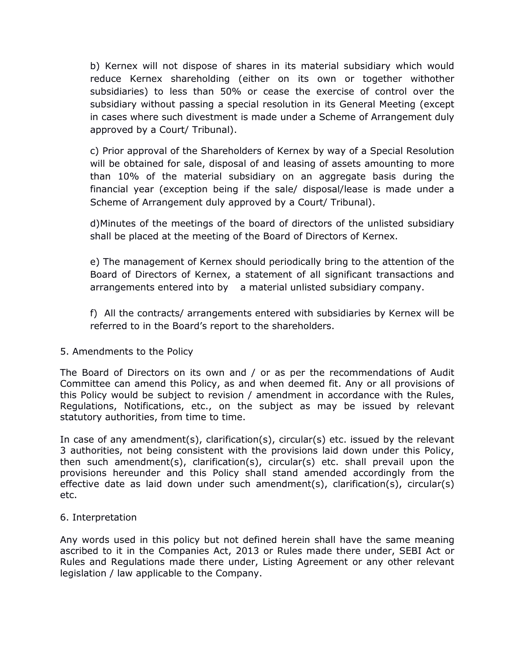b) Kernex will not dispose of shares in its material subsidiary which would reduce Kernex shareholding (either on its own or together withother subsidiaries) to less than 50% or cease the exercise of control over the subsidiary without passing a special resolution in its General Meeting (except in cases where such divestment is made under a Scheme of Arrangement duly approved by a Court/ Tribunal).

c) Prior approval of the Shareholders of Kernex by way of a Special Resolution will be obtained for sale, disposal of and leasing of assets amounting to more than 10% of the material subsidiary on an aggregate basis during the financial year (exception being if the sale/ disposal/lease is made under a Scheme of Arrangement duly approved by a Court/ Tribunal).

d)Minutes of the meetings of the board of directors of the unlisted subsidiary shall be placed at the meeting of the Board of Directors of Kernex.

e) The management of Kernex should periodically bring to the attention of the Board of Directors of Kernex, a statement of all significant transactions and arrangements entered into by a material unlisted subsidiary company.

f) All the contracts/ arrangements entered with subsidiaries by Kernex will be referred to in the Board's report to the shareholders.

#### 5. Amendments to the Policy

The Board of Directors on its own and / or as per the recommendations of Audit Committee can amend this Policy, as and when deemed fit. Any or all provisions of this Policy would be subject to revision / amendment in accordance with the Rules, Regulations, Notifications, etc., on the subject as may be issued by relevant statutory authorities, from time to time.

In case of any amendment(s), clarification(s), circular(s) etc. issued by the relevant 3 authorities, not being consistent with the provisions laid down under this Policy, then such amendment(s), clarification(s), circular(s) etc. shall prevail upon the provisions hereunder and this Policy shall stand amended accordingly from the effective date as laid down under such amendment(s), clarification(s), circular(s) etc.

#### 6. Interpretation

Any words used in this policy but not defined herein shall have the same meaning ascribed to it in the Companies Act, 2013 or Rules made there under, SEBI Act or Rules and Regulations made there under, Listing Agreement or any other relevant legislation / law applicable to the Company.